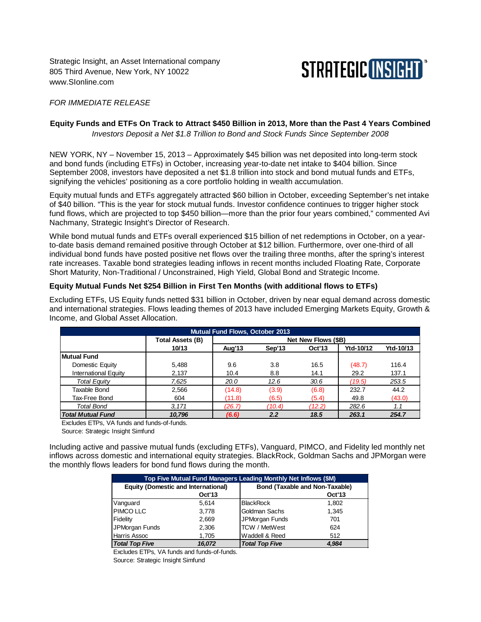Strategic Insight, an Asset International company 805 Third Avenue, New York, NY 10022 www.SIonline.com



### *FOR IMMEDIATE RELEASE*

# **Equity Funds and ETFs On Track to Attract \$450 Billion in 2013, More than the Past 4 Years Combined**

*Investors Deposit a Net \$1.8 Trillion to Bond and Stock Funds Since September 2008*

NEW YORK, NY – November 15, 2013 – Approximately \$45 billion was net deposited into long-term stock and bond funds (including ETFs) in October, increasing year-to-date net intake to \$404 billion. Since September 2008, investors have deposited a net \$1.8 trillion into stock and bond mutual funds and ETFs, signifying the vehicles' positioning as a core portfolio holding in wealth accumulation.

Equity mutual funds and ETFs aggregately attracted \$60 billion in October, exceeding September's net intake of \$40 billion. "This is the year for stock mutual funds. Investor confidence continues to trigger higher stock fund flows, which are projected to top \$450 billion—more than the prior four years combined," commented Avi Nachmany, Strategic Insight's Director of Research.

While bond mutual funds and ETFs overall experienced \$15 billion of net redemptions in October, on a yearto-date basis demand remained positive through October at \$12 billion. Furthermore, over one-third of all individual bond funds have posted positive net flows over the trailing three months, after the spring's interest rate increases. Taxable bond strategies leading inflows in recent months included Floating Rate, Corporate Short Maturity, Non-Traditional / Unconstrained, High Yield, Global Bond and Strategic Income.

### **Equity Mutual Funds Net \$254 Billion in First Ten Months (with additional flows to ETFs)**

Excluding ETFs, US Equity funds netted \$31 billion in October, driven by near equal demand across domestic and international strategies. Flows leading themes of 2013 have included Emerging Markets Equity, Growth & Income, and Global Asset Allocation.

| <b>Mutual Fund Flows, October 2013</b> |                         |                     |        |               |           |           |  |  |
|----------------------------------------|-------------------------|---------------------|--------|---------------|-----------|-----------|--|--|
|                                        | <b>Total Assets (B)</b> | Net New Flows (\$B) |        |               |           |           |  |  |
|                                        | 10/13                   | Aug' <sub>13</sub>  | Sep'13 | <b>Oct'13</b> | Ytd-10/12 | Ytd-10/13 |  |  |
| <b>Mutual Fund</b>                     |                         |                     |        |               |           |           |  |  |
| Domestic Equity                        | 5,488                   | 9.6                 | 3.8    | 16.5          | (48.7)    | 116.4     |  |  |
| International Equity                   | 2,137                   | 10.4                | 8.8    | 14.1          | 29.2      | 137.1     |  |  |
| <b>Total Equity</b>                    | 7.625                   | 20.0                | 12.6   | 30.6          | (19.5)    | 253.5     |  |  |
| Taxable Bond                           | 2,566                   | (14.8)              | (3.9)  | (6.8)         | 232.7     | 44.2      |  |  |
| Tax-Free Bond                          | 604                     | (11.8)              | (6.5)  | (5.4)         | 49.8      | (43.0)    |  |  |
| Total Bond                             | 3.171                   | (26.7)              | (10.4) | (12.2)        | 282.6     | 1.1       |  |  |
| <b>Total Mutual Fund</b>               | 10.796                  | (6.6)               | 2.2    | 18.5          | 263.1     | 254.7     |  |  |

Excludes ETPs, VA funds and funds-of-funds.

Source: Strategic Insight Simfund

Including active and passive mutual funds (excluding ETFs), Vanguard, PIMCO, and Fidelity led monthly net inflows across domestic and international equity strategies. BlackRock, Goldman Sachs and JPMorgan were the monthly flows leaders for bond fund flows during the month.

| Top Five Mutual Fund Managers Leading Monthly Net Inflows (\$M) |               |                                |               |  |  |  |  |
|-----------------------------------------------------------------|---------------|--------------------------------|---------------|--|--|--|--|
| <b>Equity (Domestic and International)</b>                      |               | Bond (Taxable and Non-Taxable) |               |  |  |  |  |
|                                                                 | <b>Oct'13</b> |                                | <b>Oct'13</b> |  |  |  |  |
| Vanguard                                                        | 5.614         | <b>BlackRock</b>               | 1.802         |  |  |  |  |
| <b>PIMCOLLC</b>                                                 | 3.778         | Goldman Sachs                  | 1.345         |  |  |  |  |
| Fidelity                                                        | 2,669         | JPMorgan Funds                 | 701           |  |  |  |  |
| JPMorgan Funds                                                  | 2,306         | <b>TCW</b> / MetWest           | 624           |  |  |  |  |
| Harris Assoc                                                    | 1,705         | Waddell & Reed                 | 512           |  |  |  |  |
| <b>Total Top Five</b>                                           | 16.072        | <b>Total Top Five</b>          | 4.984         |  |  |  |  |

Excludes ETPs, VA funds and funds-of-funds. Source: Strategic Insight Simfund